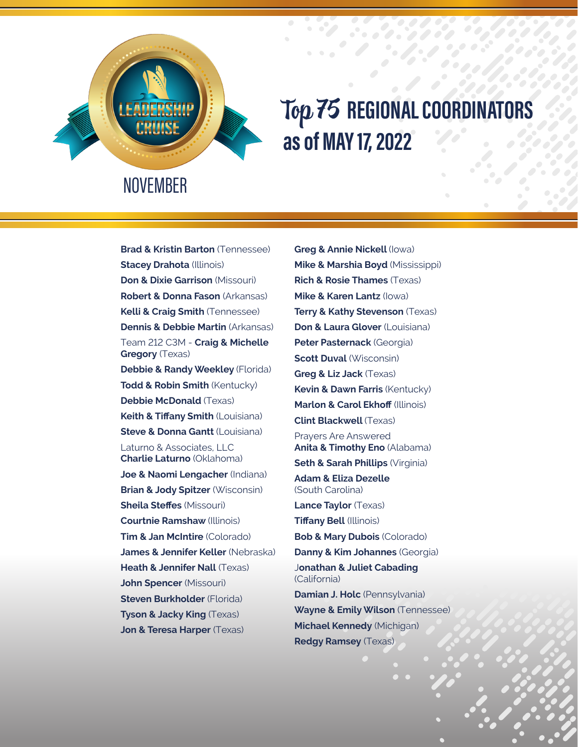

## Top 75 **REGIONAL COORDINATORS as of MAY 17, 2022**

**Brad & Kristin Barton** (Tennessee) **Stacey Drahota** (Illinois) **Don & Dixie Garrison** (Missouri) **Robert & Donna Fason** (Arkansas) **Kelli & Craig Smith** (Tennessee) **Dennis & Debbie Martin** (Arkansas) Team 212 C3M - **Craig & Michelle Gregory** (Texas) **Debbie & Randy Weekley** (Florida) **Todd & Robin Smith** (Kentucky) **Debbie McDonald** (Texas) **Keith & Tiffany Smith** (Louisiana) **Steve & Donna Gantt (Louisiana)** Laturno & Associates, LLC **Charlie Laturno** (Oklahoma) **Joe & Naomi Lengacher** (Indiana) **Brian & Jody Spitzer** (Wisconsin) **Sheila Steffes** (Missouri) **Courtnie Ramshaw** (Illinois) **Tim & Jan McIntire** (Colorado) **James & Jennifer Keller** (Nebraska) **Heath & Jennifer Nall** (Texas) **John Spencer** (Missouri) **Steven Burkholder** (Florida) **Tyson & Jacky King** (Texas) **Jon & Teresa Harper** (Texas)

**Greg & Annie Nickell** (Iowa) **Mike & Marshia Boyd** (Mississippi) **Rich & Rosie Thames** (Texas) **Mike & Karen Lantz** (Iowa) **Terry & Kathy Stevenson** (Texas) **Don & Laura Glover** (Louisiana) **Peter Pasternack** (Georgia) **Scott Duval** (Wisconsin) **Greg & Liz Jack** (Texas) **Kevin & Dawn Farris** (Kentucky) **Marlon & Carol Ekhoff** (Illinois) **Clint Blackwell** (Texas) Prayers Are Answered **Anita & Timothy Eno** (Alabama) **Seth & Sarah Phillips** (Virginia) **Adam & Eliza Dezelle**  (South Carolina) **Lance Taylor** (Texas) **Tiffany Bell** (Illinois) **Bob & Mary Dubois** (Colorado) **Danny & Kim Johannes** (Georgia) J**onathan & Juliet Cabading** (California) **Damian J. Holc** (Pennsylvania) **Wayne & Emily Wilson** (Tennessee) **Michael Kennedy** (Michigan) **Redgy Ramsey** (Texas)